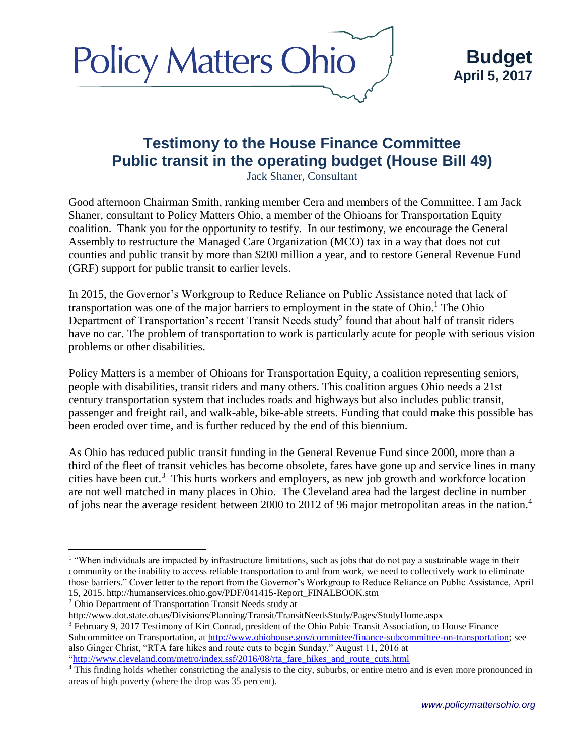

# **Testimony to the House Finance Committee Public transit in the operating budget (House Bill 49)**

Jack Shaner, Consultant

Good afternoon Chairman Smith, ranking member Cera and members of the Committee. I am Jack Shaner, consultant to Policy Matters Ohio, a member of the Ohioans for Transportation Equity coalition. Thank you for the opportunity to testify. In our testimony, we encourage the General Assembly to restructure the Managed Care Organization (MCO) tax in a way that does not cut counties and public transit by more than \$200 million a year, and to restore General Revenue Fund (GRF) support for public transit to earlier levels.

In 2015, the Governor's Workgroup to Reduce Reliance on Public Assistance noted that lack of transportation was one of the major barriers to employment in the state of Ohio.<sup>1</sup> The Ohio Department of Transportation's recent Transit Needs study<sup>2</sup> found that about half of transit riders have no car. The problem of transportation to work is particularly acute for people with serious vision problems or other disabilities.

Policy Matters is a member of Ohioans for Transportation Equity, a coalition representing seniors, people with disabilities, transit riders and many others. This coalition argues Ohio needs a 21st century transportation system that includes roads and highways but also includes public transit, passenger and freight rail, and walk-able, bike-able streets. Funding that could make this possible has been eroded over time, and is further reduced by the end of this biennium.

As Ohio has reduced public transit funding in the General Revenue Fund since 2000, more than a third of the fleet of transit vehicles has become obsolete, fares have gone up and service lines in many cities have been cut.<sup>3</sup> This hurts workers and employers, as new job growth and workforce location are not well matched in many places in Ohio. The Cleveland area had the largest decline in number of jobs near the average resident between 2000 to 2012 of 96 major metropolitan areas in the nation. 4

<sup>2</sup> Ohio Department of Transportation Transit Needs study at

 $\overline{a}$ 

http://www.dot.state.oh.us/Divisions/Planning/Transit/TransitNeedsStudy/Pages/StudyHome.aspx <sup>3</sup> February 9, 2017 Testimony of Kirt Conrad, president of the Ohio Pubic Transit Association, to House Finance Subcommittee on Transportation, at [http://www.ohiohouse.gov/committee/finance-subcommittee-on-transportation;](http://www.ohiohouse.gov/committee/finance-subcommittee-on-transportation) see also Ginger Christ, "RTA fare hikes and route cuts to begin Sunday," August 11, 2016 at ["http://www.cleveland.com/metro/index.ssf/2016/08/rta\\_fare\\_hikes\\_and\\_route\\_cuts.html](http://www.cleveland.com/metro/index.ssf/2016/08/rta_fare_hikes_and_route_cuts.html)

<sup>&</sup>lt;sup>1</sup> "When individuals are impacted by infrastructure limitations, such as jobs that do not pay a sustainable wage in their community or the inability to access reliable transportation to and from work, we need to collectively work to eliminate those barriers." Cover letter to the report from the Governor's Workgroup to Reduce Reliance on Public Assistance, April 15, 2015. http://humanservices.ohio.gov/PDF/041415-Report\_FINALBOOK.stm

<sup>&</sup>lt;sup>4</sup> This finding holds whether constricting the analysis to the city, suburbs, or entire metro and is even more pronounced in areas of high poverty (where the drop was 35 percent).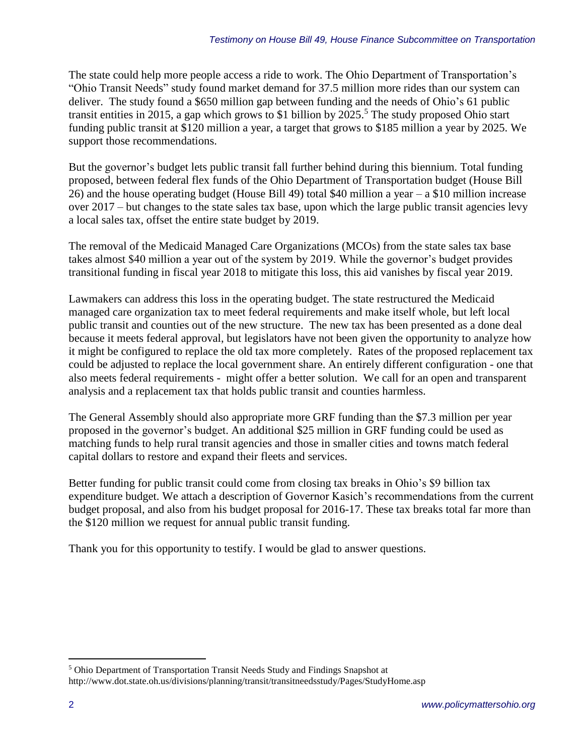The state could help more people access a ride to work. The Ohio Department of Transportation's "Ohio Transit Needs" study found market demand for 37.5 million more rides than our system can deliver. The study found a \$650 million gap between funding and the needs of Ohio's 61 public transit entities in 2015, a gap which grows to \$1 billion by 2025. <sup>5</sup> The study proposed Ohio start funding public transit at \$120 million a year, a target that grows to \$185 million a year by 2025. We support those recommendations.

But the governor's budget lets public transit fall further behind during this biennium. Total funding proposed, between federal flex funds of the Ohio Department of Transportation budget (House Bill 26) and the house operating budget (House Bill 49) total \$40 million a year – a \$10 million increase over 2017 – but changes to the state sales tax base, upon which the large public transit agencies levy a local sales tax, offset the entire state budget by 2019.

The removal of the Medicaid Managed Care Organizations (MCOs) from the state sales tax base takes almost \$40 million a year out of the system by 2019. While the governor's budget provides transitional funding in fiscal year 2018 to mitigate this loss, this aid vanishes by fiscal year 2019.

Lawmakers can address this loss in the operating budget. The state restructured the Medicaid managed care organization tax to meet federal requirements and make itself whole, but left local public transit and counties out of the new structure. The new tax has been presented as a done deal because it meets federal approval, but legislators have not been given the opportunity to analyze how it might be configured to replace the old tax more completely. Rates of the proposed replacement tax could be adjusted to replace the local government share. An entirely different configuration - one that also meets federal requirements - might offer a better solution. We call for an open and transparent analysis and a replacement tax that holds public transit and counties harmless.

The General Assembly should also appropriate more GRF funding than the \$7.3 million per year proposed in the governor's budget. An additional \$25 million in GRF funding could be used as matching funds to help rural transit agencies and those in smaller cities and towns match federal capital dollars to restore and expand their fleets and services.

Better funding for public transit could come from closing tax breaks in Ohio's \$9 billion tax expenditure budget. We attach a description of Governor Kasich's recommendations from the current budget proposal, and also from his budget proposal for 2016-17. These tax breaks total far more than the \$120 million we request for annual public transit funding.

Thank you for this opportunity to testify. I would be glad to answer questions.

 $\overline{a}$ 

<sup>5</sup> Ohio Department of Transportation Transit Needs Study and Findings Snapshot at http://www.dot.state.oh.us/divisions/planning/transit/transitneedsstudy/Pages/StudyHome.asp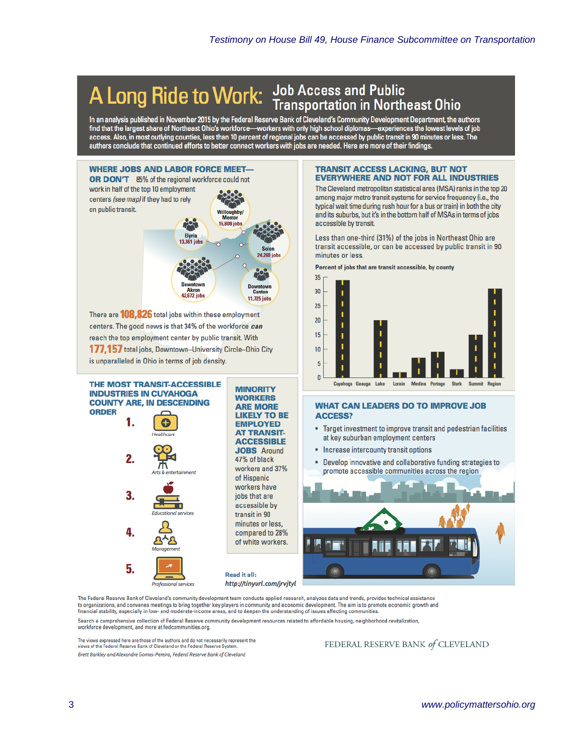# A Long Ride to Work: Job Access and Public<br>Transportation in Northeast Ohio

In an analysis published in November 2015 by the Federal Reserve Bank of Cleveland's Community Development Department, the authors manuscular the largest share of Northeast Ohio's workforce—workers with only high school diplomas—experiences the lowest levels of job<br>access. Also, in most outlying counties, less than 10 percent of regional jobs can be a



There are **108.826** total jobs within these employment centers. The good news is that 34% of the workforce can reach the top employment center by public transit. With 177.157 total jobs, Downtown-University Circle-Ohio City is unparalleled in Ohio in terms of iob density.

THE MOST TRANSIT-ACCESSIBLE

**INDUSTRIES IN CUYAHOGA** 

1.

 $\overline{2}$ 

3.

4.

5.

**ORDER** 

**COUNTY ARE, IN DESCENDING** 

### **TRANSIT ACCESS LACKING, BUT NOT EVERYWHERE AND NOT FOR ALL INDUSTRIES**

The Cleveland metropolitan statistical area (MSA) ranks in the top 20 among major metro transit systems for service frequency (i.e., the typical wait time during rush hour for a bus or train) in both the city and its suburbs, but it's in the bottom half of MSAs in terms of jobs accessible by transit.

Less than one-third (31%) of the jobs in Northeast Ohio are transit accessible, or can be accessed by public transit in 90 minutes or less.



#### Percent of jobs that are transit accessible, by county

# **WHAT CAN LEADERS DO TO IMPROVE JOB ACCESS?**

- $\bullet$ Target investment to improve transit and pedestrian facilities at key suburban employment centers
- Increase intercounty transit options
- Develop innovative and collaborative funding strategies to promote accessible communities across the region



The Federal Reserve Bank of Cleveland's community development team conducts applied research, analyzes data and trends, provides technical assistance to organizations, and convenes meetings to bring together key players in community and economic development. The aim is to promote economic growth and financial stability, especially in low- and moderate-income areas, and to deepen the understanding of issues affecting communities.

**MINORITY** 

**WORKERS** 

**ARE MORE** 

**EMPLOYED** 

**AT TRANSIT-**

**ACCESSIBLE JOBS** Around

workers and 37%

compared to 28% of white workers.

47% of black

of Hispanic workers have

iobs that are accessible by transit in 90 minutes or less,

**LIKELY TO BE** 

Search a comprehensive collection of Federal Reserve community development resources related to affordable housing, neighborhood revitalization,

**Read it all:** 

workforce development, and more at fedcommunities.org.

The views expressed here are those of the authors and do not necessarily represent the views of the Federal Reserve Bank of Cleveland or the Federal Reserve Sy Brett Barkley and Alexandre Gomes-Pereira, Federal Reserve Bank of Cleveland

# FEDERAL RESERVE BANK of CLEVELAND